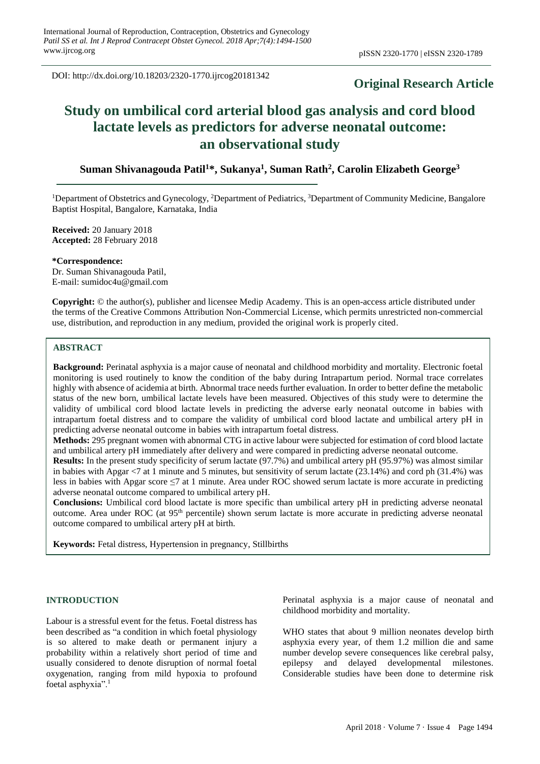DOI: http://dx.doi.org/10.18203/2320-1770.ijrcog20181342

# **Original Research Article**

# **Study on umbilical cord arterial blood gas analysis and cord blood lactate levels as predictors for adverse neonatal outcome: an observational study**

# **Suman Shivanagouda Patil<sup>1</sup>\*, Sukanya<sup>1</sup> , Suman Rath<sup>2</sup> , Carolin Elizabeth George<sup>3</sup>**

<sup>1</sup>Department of Obstetrics and Gynecology, <sup>2</sup>Department of Pediatrics, <sup>3</sup>Department of Community Medicine, Bangalore Baptist Hospital, Bangalore, Karnataka, India

**Received:** 20 January 2018 **Accepted:** 28 February 2018

**\*Correspondence:** Dr. Suman Shivanagouda Patil, E-mail: sumidoc4u@gmail.com

**Copyright:** © the author(s), publisher and licensee Medip Academy. This is an open-access article distributed under the terms of the Creative Commons Attribution Non-Commercial License, which permits unrestricted non-commercial use, distribution, and reproduction in any medium, provided the original work is properly cited.

#### **ABSTRACT**

**Background:** Perinatal asphyxia is a major cause of neonatal and childhood morbidity and mortality. Electronic foetal monitoring is used routinely to know the condition of the baby during Intrapartum period. Normal trace correlates highly with absence of acidemia at birth. Abnormal trace needs further evaluation. In order to better define the metabolic status of the new born, umbilical lactate levels have been measured. Objectives of this study were to determine the validity of umbilical cord blood lactate levels in predicting the adverse early neonatal outcome in babies with intrapartum foetal distress and to compare the validity of umbilical cord blood lactate and umbilical artery pH in predicting adverse neonatal outcome in babies with intrapartum foetal distress.

**Methods:** 295 pregnant women with abnormal CTG in active labour were subjected for estimation of cord blood lactate and umbilical artery pH immediately after delivery and were compared in predicting adverse neonatal outcome.

**Results:** In the present study specificity of serum lactate (97.7%) and umbilical artery pH (95.97%) was almost similar in babies with Apgar <7 at 1 minute and 5 minutes, but sensitivity of serum lactate (23.14%) and cord ph (31.4%) was less in babies with Apgar score ≤7 at 1 minute. Area under ROC showed serum lactate is more accurate in predicting adverse neonatal outcome compared to umbilical artery pH.

**Conclusions:** Umbilical cord blood lactate is more specific than umbilical artery pH in predicting adverse neonatal outcome. Area under ROC (at 95<sup>th</sup> percentile) shown serum lactate is more accurate in predicting adverse neonatal outcome compared to umbilical artery pH at birth.

**Keywords:** Fetal distress, Hypertension in pregnancy, Stillbirths

#### **INTRODUCTION**

Labour is a stressful event for the fetus. Foetal distress has been described as "a condition in which foetal physiology is so altered to make death or permanent injury a probability within a relatively short period of time and usually considered to denote disruption of normal foetal oxygenation, ranging from mild hypoxia to profound foetal asphyxia".<sup>1</sup>

Perinatal asphyxia is a major cause of neonatal and childhood morbidity and mortality.

WHO states that about 9 million neonates develop birth asphyxia every year, of them 1.2 million die and same number develop severe consequences like cerebral palsy, epilepsy and delayed developmental milestones. Considerable studies have been done to determine risk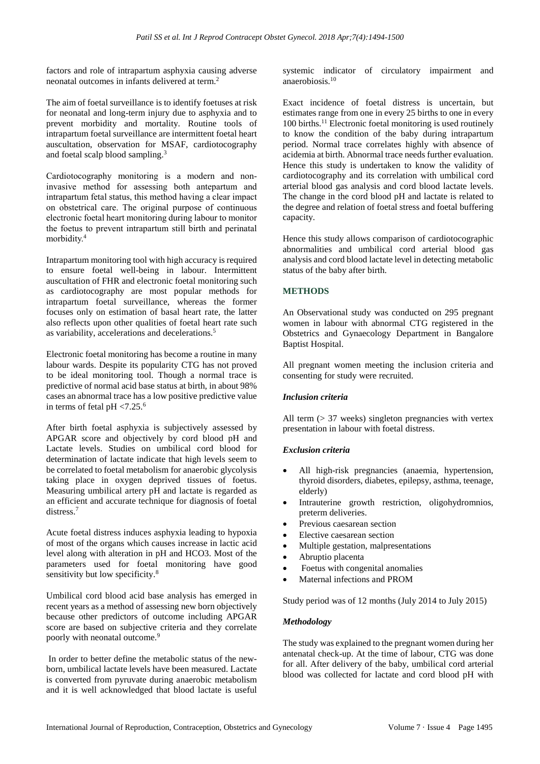factors and role of intrapartum asphyxia causing adverse neonatal outcomes in infants delivered at term.<sup>2</sup>

The aim of foetal surveillance is to identify foetuses at risk for neonatal and long-term injury due to asphyxia and to prevent morbidity and mortality. Routine tools of intrapartum foetal surveillance are intermittent foetal heart auscultation, observation for MSAF, cardiotocography and foetal scalp blood sampling.<sup>3</sup>

Cardiotocography monitoring is a modern and noninvasive method for assessing both antepartum and intrapartum fetal status, this method having a clear impact on obstetrical care. The original purpose of continuous electronic foetal heart monitoring during labour to monitor the foetus to prevent intrapartum still birth and perinatal morbidity.<sup>4</sup>

Intrapartum monitoring tool with high accuracy is required to ensure foetal well-being in labour. Intermittent auscultation of FHR and electronic foetal monitoring such as cardiotocography are most popular methods for intrapartum foetal surveillance, whereas the former focuses only on estimation of basal heart rate, the latter also reflects upon other qualities of foetal heart rate such as variability, accelerations and decelerations.<sup>5</sup>

Electronic foetal monitoring has become a routine in many labour wards. Despite its popularity CTG has not proved to be ideal monitoring tool. Though a normal trace is predictive of normal acid base status at birth, in about 98% cases an abnormal trace has a low positive predictive value in terms of fetal pH  $\langle 7.25.6$ 

After birth foetal asphyxia is subjectively assessed by APGAR score and objectively by cord blood pH and Lactate levels. Studies on umbilical cord blood for determination of lactate indicate that high levels seem to be correlated to foetal metabolism for anaerobic glycolysis taking place in oxygen deprived tissues of foetus. Measuring umbilical artery pH and lactate is regarded as an efficient and accurate technique for diagnosis of foetal distress.<sup>7</sup>

Acute foetal distress induces asphyxia leading to hypoxia of most of the organs which causes increase in lactic acid level along with alteration in pH and HCO3. Most of the parameters used for foetal monitoring have good sensitivity but low specificity.<sup>8</sup>

Umbilical cord blood acid base analysis has emerged in recent years as a method of assessing new born objectively because other predictors of outcome including APGAR score are based on subjective criteria and they correlate poorly with neonatal outcome.<sup>9</sup>

In order to better define the metabolic status of the newborn, umbilical lactate levels have been measured. Lactate is converted from pyruvate during anaerobic metabolism and it is well acknowledged that blood lactate is useful systemic indicator of circulatory impairment and anaerobiosis.<sup>10</sup>

Exact incidence of foetal distress is uncertain, but estimates range from one in every 25 births to one in every 100 births.<sup>11</sup> Electronic foetal monitoring is used routinely to know the condition of the baby during intrapartum period. Normal trace correlates highly with absence of acidemia at birth. Abnormal trace needs further evaluation. Hence this study is undertaken to know the validity of cardiotocography and its correlation with umbilical cord arterial blood gas analysis and cord blood lactate levels. The change in the cord blood pH and lactate is related to the degree and relation of foetal stress and foetal buffering capacity.

Hence this study allows comparison of cardiotocographic abnormalities and umbilical cord arterial blood gas analysis and cord blood lactate level in detecting metabolic status of the baby after birth.

# **METHODS**

An Observational study was conducted on 295 pregnant women in labour with abnormal CTG registered in the Obstetrics and Gynaecology Department in Bangalore Baptist Hospital.

All pregnant women meeting the inclusion criteria and consenting for study were recruited.

# *Inclusion criteria*

All term (> 37 weeks) singleton pregnancies with vertex presentation in labour with foetal distress.

# *Exclusion criteria*

- All high-risk pregnancies (anaemia, hypertension, thyroid disorders, diabetes, epilepsy, asthma, teenage, elderly)
- Intrauterine growth restriction, oligohydromnios, preterm deliveries.
- Previous caesarean section
- Elective caesarean section
- Multiple gestation, malpresentations
- Abruptio placenta
- Foetus with congenital anomalies
- Maternal infections and PROM

Study period was of 12 months (July 2014 to July 2015)

# *Methodology*

The study was explained to the pregnant women during her antenatal check-up. At the time of labour, CTG was done for all. After delivery of the baby, umbilical cord arterial blood was collected for lactate and cord blood pH with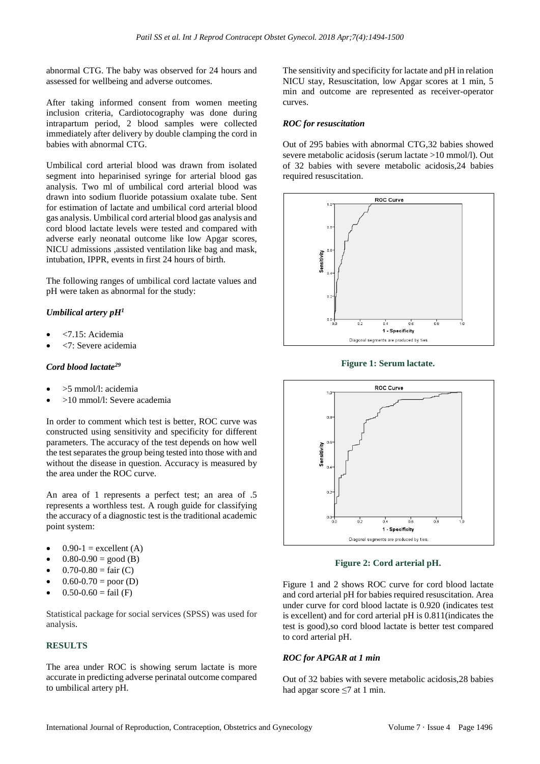abnormal CTG. The baby was observed for 24 hours and assessed for wellbeing and adverse outcomes.

After taking informed consent from women meeting inclusion criteria, Cardiotocography was done during intrapartum period, 2 blood samples were collected immediately after delivery by double clamping the cord in babies with abnormal CTG.

Umbilical cord arterial blood was drawn from isolated segment into heparinised syringe for arterial blood gas analysis. Two ml of umbilical cord arterial blood was drawn into sodium fluoride potassium oxalate tube. Sent for estimation of lactate and umbilical cord arterial blood gas analysis. Umbilical cord arterial blood gas analysis and cord blood lactate levels were tested and compared with adverse early neonatal outcome like low Apgar scores, NICU admissions ,assisted ventilation like bag and mask, intubation, IPPR, events in first 24 hours of birth.

The following ranges of umbilical cord lactate values and pH were taken as abnormal for the study:

# *Umbilical artery pH<sup>1</sup>*

- <7.15: Acidemia
- <7: Severe acidemia

# *Cord blood lactate<sup>29</sup>*

- >5 mmol/l: acidemia
- >10 mmol/l: Severe academia

In order to comment which test is better, ROC curve was constructed using sensitivity and specificity for different parameters. The accuracy of the test depends on how well the test separates the group being tested into those with and without the disease in question. Accuracy is measured by the area under the ROC curve.

An area of 1 represents a perfect test; an area of .5 represents a worthless test. A rough guide for classifying the accuracy of a diagnostic test is the traditional academic point system:

- $\bullet$  0.90-1 = excellent (A)
- $0.80 0.90 = \text{good}$  (B)
- $0.70 0.80 = \text{fair} (C)$
- $0.60 0.70 =$  poor (D)
- $0.50 0.60 = \text{fail (F)}$

Statistical package for social services (SPSS) was used for analysis.

# **RESULTS**

The area under ROC is showing serum lactate is more accurate in predicting adverse perinatal outcome compared to umbilical artery pH.

The sensitivity and specificity for lactate and pH in relation NICU stay, Resuscitation, low Apgar scores at 1 min, 5 min and outcome are represented as receiver-operator curves.

#### *ROC for resuscitation*

Out of 295 babies with abnormal CTG,32 babies showed severe metabolic acidosis (serum lactate >10 mmol/l). Out of 32 babies with severe metabolic acidosis,24 babies required resuscitation.



**Figure 1: Serum lactate.**



**Figure 2: Cord arterial pH.**

Figure 1 and 2 shows ROC curve for cord blood lactate and cord arterial pH for babies required resuscitation. Area under curve for cord blood lactate is 0.920 (indicates test is excellent) and for cord arterial pH is 0.811(indicates the test is good),so cord blood lactate is better test compared to cord arterial pH.

# *ROC for APGAR at 1 min*

Out of 32 babies with severe metabolic acidosis,28 babies had apgar score  $\leq$ 7 at 1 min.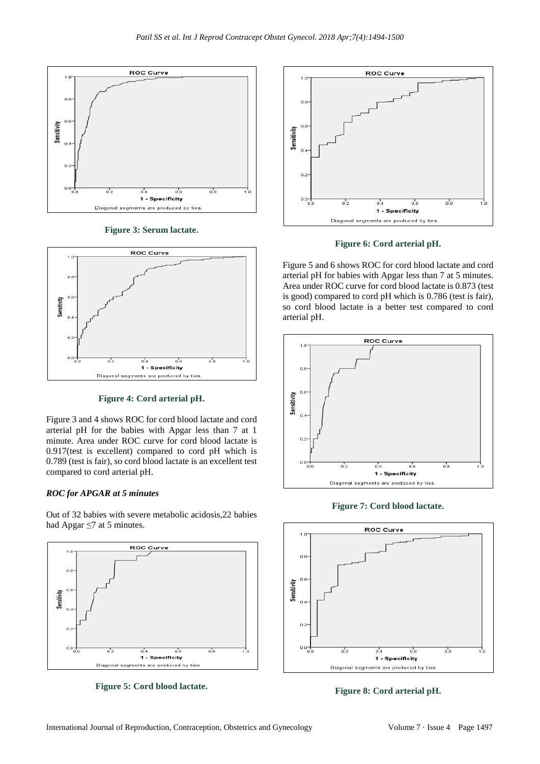

**Figure 3: Serum lactate.**



**Figure 4: Cord arterial pH.**

Figure 3 and 4 shows ROC for cord blood lactate and cord arterial pH for the babies with Apgar less than 7 at 1 minute. Area under ROC curve for cord blood lactate is 0.917(test is excellent) compared to cord pH which is 0.789 (test is fair), so cord blood lactate is an excellent test compared to cord arterial pH.

#### *ROC for APGAR at 5 minutes*

Out of 32 babies with severe metabolic acidosis,22 babies had Apgar ≤7 at 5 minutes.



**Figure 5: Cord blood lactate.**



**Figure 6: Cord arterial pH.**

Figure 5 and 6 shows ROC for cord blood lactate and cord arterial pH for babies with Apgar less than 7 at 5 minutes. Area under ROC curve for cord blood lactate is 0.873 (test is good) compared to cord pH which is 0.786 (test is fair), so cord blood lactate is a better test compared to cord arterial pH.



**Figure 7: Cord blood lactate.**



**Figure 8: Cord arterial pH.**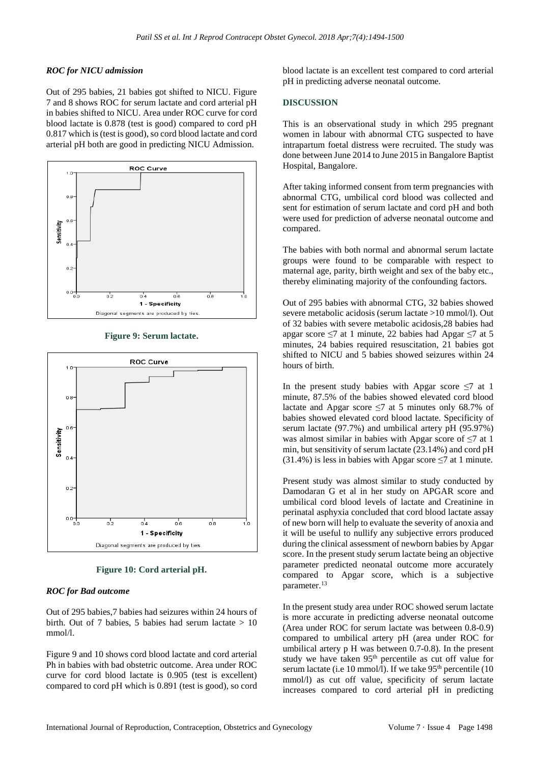# *ROC for NICU admission*

Out of 295 babies, 21 babies got shifted to NICU. Figure 7 and 8 shows ROC for serum lactate and cord arterial pH in babies shifted to NICU. Area under ROC curve for cord blood lactate is 0.878 (test is good) compared to cord pH 0.817 which is(test is good), so cord blood lactate and cord arterial pH both are good in predicting NICU Admission.



**Figure 9: Serum lactate.**



**Figure 10: Cord arterial pH.**

# *ROC for Bad outcome*

Out of 295 babies,7 babies had seizures within 24 hours of birth. Out of 7 babies, 5 babies had serum lactate  $> 10$ mmol/l.

Figure 9 and 10 shows cord blood lactate and cord arterial Ph in babies with bad obstetric outcome. Area under ROC curve for cord blood lactate is 0.905 (test is excellent) compared to cord pH which is 0.891 (test is good), so cord blood lactate is an excellent test compared to cord arterial pH in predicting adverse neonatal outcome.

# **DISCUSSION**

This is an observational study in which 295 pregnant women in labour with abnormal CTG suspected to have intrapartum foetal distress were recruited. The study was done between June 2014 to June 2015 in Bangalore Baptist Hospital, Bangalore.

After taking informed consent from term pregnancies with abnormal CTG, umbilical cord blood was collected and sent for estimation of serum lactate and cord pH and both were used for prediction of adverse neonatal outcome and compared.

The babies with both normal and abnormal serum lactate groups were found to be comparable with respect to maternal age, parity, birth weight and sex of the baby etc., thereby eliminating majority of the confounding factors.

Out of 295 babies with abnormal CTG, 32 babies showed severe metabolic acidosis (serum lactate >10 mmol/l). Out of 32 babies with severe metabolic acidosis,28 babies had apgar score ≤7 at 1 minute, 22 babies had Apgar ≤7 at 5 minutes, 24 babies required resuscitation, 21 babies got shifted to NICU and 5 babies showed seizures within 24 hours of birth.

In the present study babies with Apgar score  $\leq 7$  at 1 minute, 87.5% of the babies showed elevated cord blood lactate and Apgar score  $\leq$ 7 at 5 minutes only 68.7% of babies showed elevated cord blood lactate. Specificity of serum lactate (97.7%) and umbilical artery pH (95.97%) was almost similar in babies with Apgar score of ≤7 at 1 min, but sensitivity of serum lactate (23.14%) and cord pH (31.4%) is less in babies with Apgar score  $\leq$ 7 at 1 minute.

Present study was almost similar to study conducted by Damodaran G et al in her study on APGAR score and umbilical cord blood levels of lactate and Creatinine in perinatal asphyxia concluded that cord blood lactate assay of new born will help to evaluate the severity of anoxia and it will be useful to nullify any subjective errors produced during the clinical assessment of newborn babies by Apgar score. In the present study serum lactate being an objective parameter predicted neonatal outcome more accurately compared to Apgar score, which is a subjective parameter.<sup>13</sup>

In the present study area under ROC showed serum lactate is more accurate in predicting adverse neonatal outcome (Area under ROC for serum lactate was between 0.8-0.9) compared to umbilical artery pH (area under ROC for umbilical artery p H was between 0.7-0.8). In the present study we have taken 95<sup>th</sup> percentile as cut off value for serum lactate (i.e 10 mmol/l). If we take  $95<sup>th</sup>$  percentile (10) mmol/l) as cut off value, specificity of serum lactate increases compared to cord arterial pH in predicting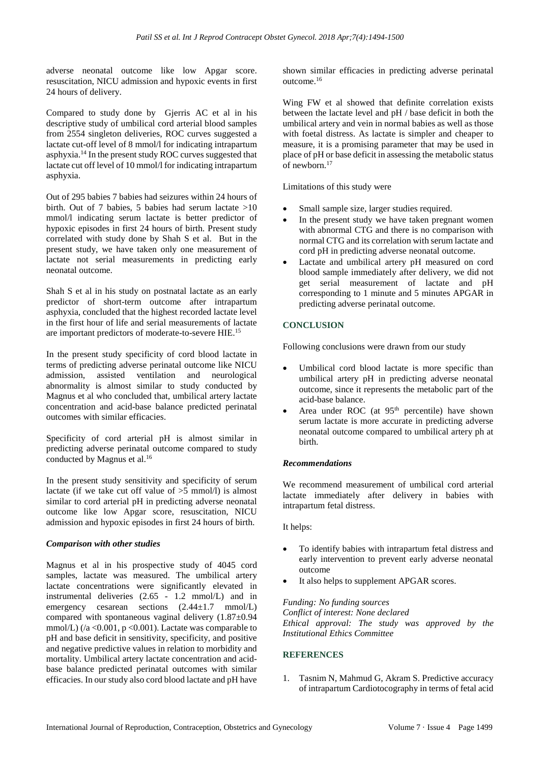adverse neonatal outcome like low Apgar score. resuscitation, NICU admission and hypoxic events in first 24 hours of delivery.

Compared to study done by [Gjerris](javascript:void(0);) AC et al in his descriptive study of umbilical cord arterial blood samples from 2554 singleton deliveries, ROC curves suggested a lactate cut-off level of 8 mmol/l for indicating intrapartum asphyxia. <sup>14</sup> In the present study ROC curves suggested that lactate cut off level of 10 mmol/l for indicating intrapartum asphyxia.

Out of 295 babies 7 babies had seizures within 24 hours of birth. Out of 7 babies, 5 babies had serum lactate >10 mmol/l indicating serum lactate is better predictor of hypoxic episodes in first 24 hours of birth. Present study correlated with study done by Shah S et al. But in the present study, we have taken only one measurement of lactate not serial measurements in predicting early neonatal outcome.

Shah S et al in his study on postnatal lactate as an early predictor of short-term outcome after intrapartum asphyxia, concluded that the highest recorded lactate level in the first hour of life and serial measurements of lactate are important predictors of moderate-to-severe HIE.<sup>15</sup>

In the present study specificity of cord blood lactate in terms of predicting adverse perinatal outcome like NICU admission, assisted ventilation and neurological abnormality is almost similar to study conducted by Magnus et al who concluded that, umbilical artery lactate concentration and acid-base balance predicted perinatal outcomes with similar efficacies.

Specificity of cord arterial pH is almost similar in predicting adverse perinatal outcome compared to study conducted by Magnus et al.<sup>16</sup>

In the present study sensitivity and specificity of serum lactate (if we take cut off value of  $>5$  mmol/l) is almost similar to cord arterial pH in predicting adverse neonatal outcome like low Apgar score, resuscitation, NICU admission and hypoxic episodes in first 24 hours of birth.

# *Comparison with other studies*

Magnus et al in his prospective study of 4045 cord samples, lactate was measured. The umbilical artery lactate concentrations were significantly elevated in instrumental deliveries (2.65 - 1.2 mmol/L) and in emergency cesarean sections  $(2.44 \pm 1.7 \text{ mmol/L})$ compared with spontaneous vaginal delivery (1.87±0.94 mmol/L) ( $/a$  <0.001, p <0.001). Lactate was comparable to pH and base deficit in sensitivity, specificity, and positive and negative predictive values in relation to morbidity and mortality. Umbilical artery lactate concentration and acidbase balance predicted perinatal outcomes with similar efficacies. In our study also cord blood lactate and pH have shown similar efficacies in predicting adverse perinatal outcome.<sup>16</sup>

Wing FW et al showed that definite correlation exists between the lactate level and pH / base deficit in both the umbilical artery and vein in normal babies as well as those with foetal distress. As lactate is simpler and cheaper to measure, it is a promising parameter that may be used in place of pH or base deficit in assessing the metabolic status of newborn.<sup>17</sup>

Limitations of this study were

- Small sample size, larger studies required.
- In the present study we have taken pregnant women with abnormal CTG and there is no comparison with normal CTG and its correlation with serum lactate and cord pH in predicting adverse neonatal outcome.
- Lactate and umbilical artery pH measured on cord blood sample immediately after delivery, we did not get serial measurement of lactate and pH corresponding to 1 minute and 5 minutes APGAR in predicting adverse perinatal outcome*.*

# **CONCLUSION**

Following conclusions were drawn from our study

- Umbilical cord blood lactate is more specific than umbilical artery pH in predicting adverse neonatal outcome, since it represents the metabolic part of the acid-base balance.
- Area under ROC (at 95<sup>th</sup> percentile) have shown serum lactate is more accurate in predicting adverse neonatal outcome compared to umbilical artery ph at birth.

# *Recommendations*

We recommend measurement of umbilical cord arterial lactate immediately after delivery in babies with intrapartum fetal distress.

It helps:

- To identify babies with intrapartum fetal distress and early intervention to prevent early adverse neonatal outcome
- It also helps to supplement APGAR scores.

### *Funding: No funding sources*

*Conflict of interest: None declared Ethical approval: The study was approved by the Institutional Ethics Committee*

#### **REFERENCES**

1. Tasnim N, Mahmud G, Akram S. Predictive accuracy of intrapartum Cardiotocography in terms of fetal acid